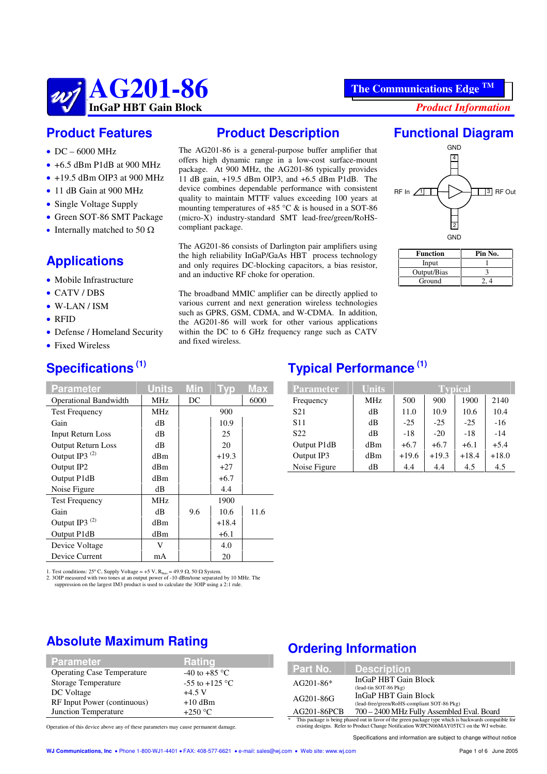#### **InGaP HBT Gain Block** *Product Information*

## **Product Features**

**AG201-86**

- $\bullet$  DC 6000 MHz
- $\bullet$  +6.5 dBm P1dB at 900 MHz
- $\bullet$  +19.5 dBm OIP3 at 900 MHz
- 11 dB Gain at 900 MHz
- Single Voltage Supply
- Green SOT-86 SMT Package
- Internally matched to 50  $\Omega$

# **Applications**

- Mobile Infrastructure
- CATV/DBS
- W-LAN / ISM
- $\bullet$  RFID
- Defense / Homeland Security
- Fixed Wireless

## **Specifications (1)**

| <b>Parameter</b>             | <b>Units</b>    | Min | Tvp     | <b>Max</b> |
|------------------------------|-----------------|-----|---------|------------|
| <b>Operational Bandwidth</b> | MHz             | DC  |         | 6000       |
| <b>Test Frequency</b>        | MHz             |     | 900     |            |
| Gain                         | dВ              |     | 10.9    |            |
| <b>Input Return Loss</b>     | dВ              |     | 25      |            |
| <b>Output Return Loss</b>    | dВ              |     | 20      |            |
| Output IP3 <sup>(2)</sup>    | dBm             |     | $+19.3$ |            |
| Output IP2                   | dBm             |     | $+27$   |            |
| Output P1dB                  | dBm             |     | $+6.7$  |            |
| Noise Figure                 | dВ              |     | 4.4     |            |
| <b>Test Frequency</b>        | MH <sub>z</sub> |     | 1900    |            |
| Gain                         | dВ              | 9.6 | 10.6    | 11.6       |
| Output IP3 <sup>(2)</sup>    | dBm             |     | $+18.4$ |            |
| Output P1dB                  | dBm             |     | $+6.1$  |            |
| Device Voltage               | V               |     | 4.0     |            |
| Device Current               | mA              |     | 20      |            |

1. Test conditions: 25° C, Supply Voltage = +5 V, R<sub>bias</sub> = 49.9  $\Omega$ , 50  $\Omega$  System.<br>2. 3OIP measured with two tones at an output power of -10 dBm/tone separated by 10 MHz. The suppression on the largest IM3 product is used to calculate the 3OIP using a 2:1 rule.

## **Absolute Maximum Rating**

| <b>Parameter</b>                  | Rating                          |
|-----------------------------------|---------------------------------|
| <b>Operating Case Temperature</b> | -40 to +85 $\mathrm{^{\circ}C}$ |
| Storage Temperature               | -55 to +125 $^{\circ}$ C        |
| DC Voltage                        | $+4.5$ V                        |
| RF Input Power (continuous)       | $+10$ dBm                       |
| Junction Temperature              | $+250 °C$                       |
|                                   |                                 |

Operation of this device above any of these parameters may cause permanent damage.

#### **Product Description**

The AG201-86 is a general-purpose buffer amplifier that offers high dynamic range in a low-cost surface-mount package. At 900 MHz, the AG201-86 typically provides 11 dB gain, +19.5 dBm OIP3, and +6.5 dBm P1dB. The device combines dependable performance with consistent quality to maintain MTTF values exceeding 100 years at mounting temperatures of +85  $\degree$ C & is housed in a SOT-86 (micro-X) industry-standard SMT lead-free/green/RoHScompliant package.

The AG201-86 consists of Darlington pair amplifiers using the high reliability InGaP/GaAs HBT process technology and only requires DC-blocking capacitors, a bias resistor, and an inductive RF choke for operation.

The broadband MMIC amplifier can be directly applied to various current and next generation wireless technologies such as GPRS, GSM, CDMA, and W-CDMA. In addition, the AG201-86 will work for other various applications within the DC to 6 GHz frequency range such as CATV and fixed wireless.

## **Functional Diagram**



| Function    | Pin No. |
|-------------|---------|
| Input       |         |
| Output/Bias |         |
| Ground      |         |

## **Typical Performance (1)**

| <b>Parameter</b> | <b>Units</b> | <b>Typical</b> |         |         |         |  |  |
|------------------|--------------|----------------|---------|---------|---------|--|--|
| Frequency        | <b>MHz</b>   | 500            | 900     | 1900    | 2140    |  |  |
| S <sub>21</sub>  | dB           | 11.0           | 10.9    | 10.6    | 10.4    |  |  |
| S <sub>11</sub>  | dB           | $-25$          | $-25$   | $-25$   | $-16$   |  |  |
| S <sub>22</sub>  | dB           | $-18$          | $-20$   | $-18$   | $-14$   |  |  |
| Output P1dB      | dBm          | $+6.7$         | $+6.7$  | $+6.1$  | $+5.4$  |  |  |
| Output IP3       | dBm          | $+19.6$        | $+19.3$ | $+18.4$ | $+18.0$ |  |  |
| Noise Figure     | dВ           | 4.4            | 4.4     | 4.5     | 4.5     |  |  |

## **Ordering Information**

| <b>Description</b><br>Part No.                                                                                                                                                                          |  |  |  |  |  |
|---------------------------------------------------------------------------------------------------------------------------------------------------------------------------------------------------------|--|--|--|--|--|
| InGaP HBT Gain Block<br>$AG201-86*$<br>(lead-tin SOT-86 Pkg)                                                                                                                                            |  |  |  |  |  |
| InGaP HBT Gain Block<br>AG201-86G<br>(lead-free/green/RoHS-compliant SOT-86 Pkg)                                                                                                                        |  |  |  |  |  |
| AG201-86PCB<br>700 – 2400 MHz Fully Assembled Eval. Board                                                                                                                                               |  |  |  |  |  |
| *<br>This package is being phased out in favor of the green package type which is backwards compatible for<br>existing designs. Refer to Product Change Notification WJPCN06MAY05TC1 on the WJ website. |  |  |  |  |  |

Specifications and information are subject to change without notice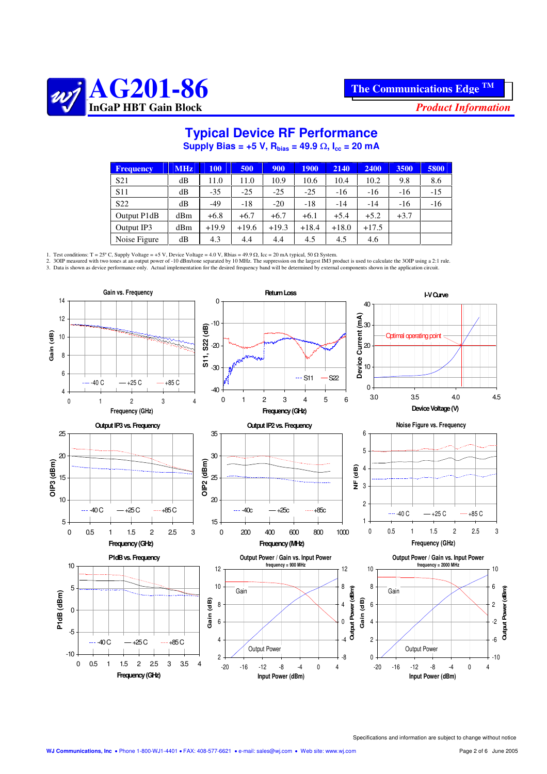

# **Typical Device RF Performance**

 $\textbf{Supply Bias} = +5 \text{ V}, \ \text{R}_{\text{bias}} = 49.9 \ \Omega, \ \text{I}_{\text{cc}} = 20 \ \text{mA}.$ 

| <b>Frequency</b> | <b>MHz</b> | <b>100</b> | 500     | 900     | <b>1900</b> | 2140    | 2400    | 3500   | 5800  |
|------------------|------------|------------|---------|---------|-------------|---------|---------|--------|-------|
| S <sub>21</sub>  | dB         | 11.0       | 11.0    | 10.9    | 10.6        | 10.4    | 10.2    | 9.8    | 8.6   |
| <b>S11</b>       | dB         | $-35$      | $-25$   | $-25$   | $-25$       | $-16$   | $-16$   | $-16$  | $-15$ |
| S <sub>22</sub>  | dB         | $-49$      | $-18$   | $-20$   | $-18$       | -14     | $-14$   | $-16$  | $-16$ |
| Output P1dB      | dBm        | $+6.8$     | $+6.7$  | $+6.7$  | $+6.1$      | $+5.4$  | $+5.2$  | $+3.7$ |       |
| Output IP3       | dBm        | $+19.9$    | $+19.6$ | $+19.3$ | $+18.4$     | $+18.0$ | $+17.5$ |        |       |
| Noise Figure     | dВ         | 4.3        | 4.4     | 4.4     | 4.5         | 4.5     | 4.6     |        |       |

1. Test conditions: T = 25° C, Supply Voltage = +5 V, Device Voltage = 4.0 V, Rbias = 49.9 Ω, Icc = 20 mA typical, 50 Ω System.<br>2. 3OIP measured with two tones at an output power of -10 dBm/tone separated by 10 MHz. The su

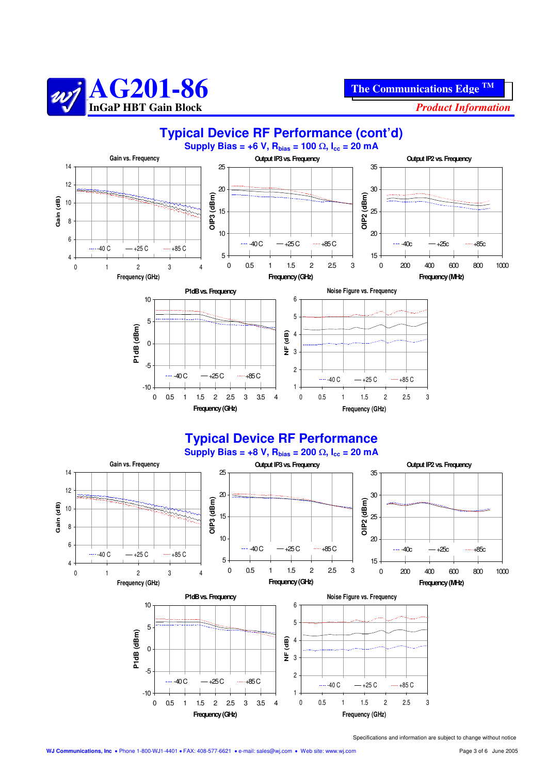



1  $\overline{2}$ 

Specifications and information are subject to change without notice

0 0.5 1 1.5 2 2.5 3 **Frequency (GHz)**

 $---40$  C  $-+25$  C  $--+85$  C

0 0.5 1 1.5 2 2.5 3 3.5 4 **Frequency(GHz)**

 $-40C - +25C$   $-485C$ 

 $-10$ 

-5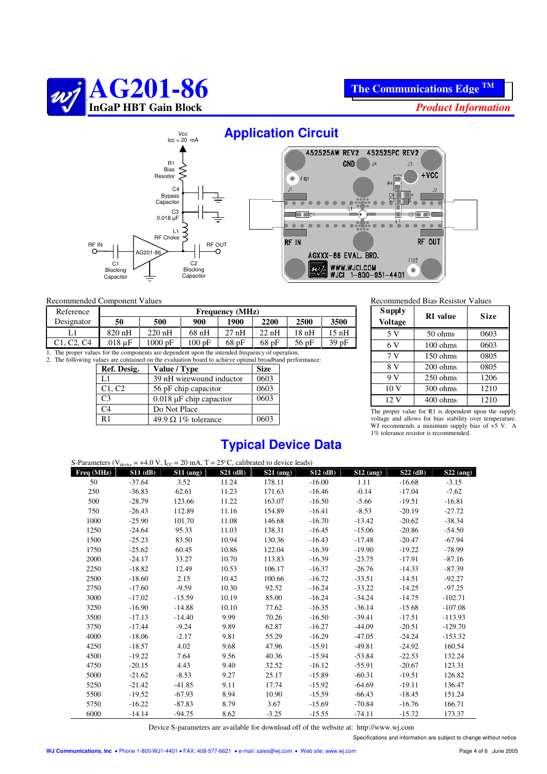



## **Application Circuit**



#### Recommended Component Values

| Reference                                                                                       | <b>Frequency</b> (MHz)                                                              |          |      |      |      |      |      |  |
|-------------------------------------------------------------------------------------------------|-------------------------------------------------------------------------------------|----------|------|------|------|------|------|--|
| Designator                                                                                      | 50                                                                                  | 500      | 900  | 1900 | 2200 | 2500 | 3500 |  |
|                                                                                                 | $820$ nH                                                                            | $220$ nH | 68nH | 27nH | 22nH | 18nH | 15nH |  |
| C <sub>1</sub> . C <sub>2</sub> . C <sub>4</sub>                                                | 39 pF<br>$.018 \text{ uF}$<br>100pF<br>$1000 \text{ pF}$<br>68pF<br>$56$ pF<br>68pF |          |      |      |      |      |      |  |
| 1. The proper values for the components are dependent upon the intended frequency of operation. |                                                                                     |          |      |      |      |      |      |  |

2. The following values are contained on the evaluation board to achieve optimal broadband performance:

| Ref. Desig.    | Value / Type                 | <b>Size</b> |
|----------------|------------------------------|-------------|
| L1             | 39 nH wirewound inductor     | 0603        |
| C1, C2         | 56 pF chip capacitor         | 0603        |
| C <sub>3</sub> | $0.018 \mu F$ chip capacitor | 0603        |
| C <sub>4</sub> | Do Not Place                 |             |
| R <sub>1</sub> | 49.9 $\Omega$ 1% tolerance   | 0603        |

| <b>Supply</b><br><b>Voltage</b>                                                                                                                                                                                               | R1 value | Size |  |  |  |  |
|-------------------------------------------------------------------------------------------------------------------------------------------------------------------------------------------------------------------------------|----------|------|--|--|--|--|
| 5 V                                                                                                                                                                                                                           | 50 ohms  | 0603 |  |  |  |  |
| 6 V                                                                                                                                                                                                                           | 100 ohms | 0603 |  |  |  |  |
| 7V                                                                                                                                                                                                                            | 150 ohms | 0805 |  |  |  |  |
| 8 V                                                                                                                                                                                                                           | 200 ohms | 0805 |  |  |  |  |
| 9V                                                                                                                                                                                                                            | 250 ohms | 1206 |  |  |  |  |
| 10 <sub>V</sub>                                                                                                                                                                                                               | 300 ohms | 1210 |  |  |  |  |
| 12 V                                                                                                                                                                                                                          | 400 ohms | 1210 |  |  |  |  |
| The component of the Committee of the demonstration of the committee of the committee of the committee of the committee of the committee of the committee of the committee of the committee of the committee of the committee |          |      |  |  |  |  |

The proper value for R1 is dependent upon the supply voltage and allows for bias stability over temperature. WJ recommends a minimum supply bias of  $+5$  V. A 1% tolerance resistor is recommended.

### **Typical Device Data**

|              |            | S-Parameters ( $V_{\text{device}} = +4.0 V$ , $I_{\text{CC}} = 20 \text{ mA}$ , $T = 25^{\circ}$ C, calibrated to device leads) |            |             |            |             |            |             |
|--------------|------------|---------------------------------------------------------------------------------------------------------------------------------|------------|-------------|------------|-------------|------------|-------------|
| Freq $(MHz)$ | $S11$ (dB) | $S11$ (ang)                                                                                                                     | $S21$ (dB) | $S21$ (ang) | $S12$ (dB) | $S12$ (ang) | $S22$ (dB) | $S22$ (ang) |
| 50           | $-37.64$   | 3.52                                                                                                                            | 11.24      | 178.11      | $-16.00$   | 1.11        | $-16.68$   | $-3.15$     |
| 250          | $-36.83$   | 62.61                                                                                                                           | 11.23      | 171.63      | $-16.46$   | $-0.14$     | $-17.04$   | $-7.62$     |
| 500          | $-28.79$   | 123.66                                                                                                                          | 11.22      | 163.07      | $-16.50$   | $-5.66$     | $-19.51$   | $-16.81$    |
| 750          | $-26.43$   | 112.89                                                                                                                          | 11.16      | 154.89      | $-16.41$   | $-8.53$     | $-20.19$   | $-27.72$    |
| 1000         | $-25.90$   | 101.70                                                                                                                          | 11.08      | 146.68      | $-16.70$   | $-13.42$    | $-20.62$   | $-38.34$    |
| 1250         | $-24.64$   | 95.33                                                                                                                           | 11.03      | 138.31      | $-16.45$   | $-15.06$    | $-20.86$   | $-54.50$    |
| 1500         | $-25.23$   | 83.50                                                                                                                           | 10.94      | 130.36      | $-16.43$   | $-17.48$    | $-20.47$   | $-67.94$    |
| 1750         | $-25.62$   | 60.45                                                                                                                           | 10.86      | 122.04      | $-16.39$   | $-19.90$    | $-19.22$   | $-78.99$    |
| 2000         | $-24.17$   | 33.27                                                                                                                           | 10.70      | 113.83      | $-16.39$   | $-23.75$    | $-17.91$   | $-87.16$    |
| 2250         | $-18.82$   | 12.49                                                                                                                           | 10.53      | 106.17      | $-16.37$   | $-26.76$    | $-14.33$   | $-87.39$    |
| 2500         | $-18.60$   | 2.15                                                                                                                            | 10.42      | 100.66      | $-16.72$   | $-33.51$    | $-14.51$   | $-92.27$    |
| 2750         | $-17.60$   | $-9.59$                                                                                                                         | 10.30      | 92.52       | $-16.24$   | $-33.22$    | $-14.25$   | $-97.25$    |
| 3000         | $-17.02$   | $-15.59$                                                                                                                        | 10.19      | 85.00       | $-16.24$   | $-34.24$    | $-14.75$   | $-102.71$   |
| 3250         | $-16.90$   | $-14.88$                                                                                                                        | 10.10      | 77.62       | $-16.35$   | $-36.14$    | $-15.68$   | $-107.08$   |
| 3500         | $-17.13$   | $-14.40$                                                                                                                        | 9.99       | 70.26       | $-16.50$   | $-39.41$    | $-17.51$   | $-113.93$   |
| 3750         | $-17.44$   | $-9.24$                                                                                                                         | 9.89       | 62.87       | $-16.27$   | $-44.09$    | $-20.51$   | $-129.70$   |
| 4000         | $-18.06$   | $-2.17$                                                                                                                         | 9.81       | 55.29       | $-16.29$   | $-47.05$    | $-24.24$   | $-153.32$   |
| 4250         | $-18.57$   | 4.02                                                                                                                            | 9.68       | 47.96       | $-15.91$   | $-49.81$    | $-24.92$   | 160.54      |
| 4500         | $-19.22$   | 7.64                                                                                                                            | 9.56       | 40.36       | $-15.94$   | $-53.84$    | $-22.53$   | 132.24      |
| 4750         | $-20.15$   | 4.43                                                                                                                            | 9.40       | 32.52       | $-16.12$   | $-55.91$    | $-20.67$   | 123.31      |
| 5000         | $-21.62$   | $-8.53$                                                                                                                         | 9.27       | 25.17       | $-15.89$   | $-60.31$    | $-19.51$   | 126.82      |
| 5250         | $-21.42$   | $-41.85$                                                                                                                        | 9.11       | 17.74       | $-15.92$   | $-64.69$    | $-19.11$   | 136.47      |
| 5500         | $-19.52$   | $-67.93$                                                                                                                        | 8.94       | 10.90       | $-15.59$   | $-66.43$    | $-18.45$   | 151.24      |
| 5750         | $-16.22$   | $-87.83$                                                                                                                        | 8.79       | 3.67        | $-15.69$   | $-70.84$    | $-16.76$   | 166.71      |
| 6000         | $-14.14$   | $-94.75$                                                                                                                        | 8.62       | $-3.25$     | $-15.55$   | $-74.11$    | $-15.72$   | 173.37      |

Device S-parameters are available for download off of the website at: http://www.wj.com

Specifications and information are subject to change without notice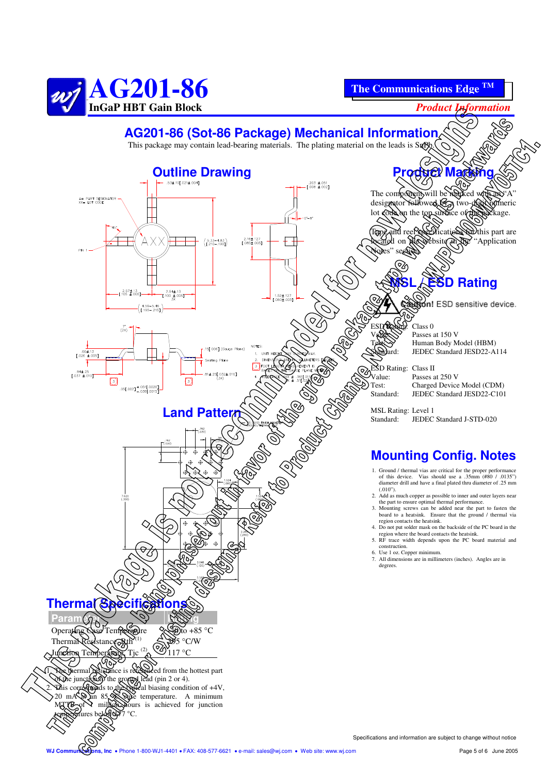

**The Communications Edge TM**



## **AG201-86 (Sot-86 Package) Mechanical Information**

This package may contain lead-bearing materials. The plating material on the leads is SnPb.